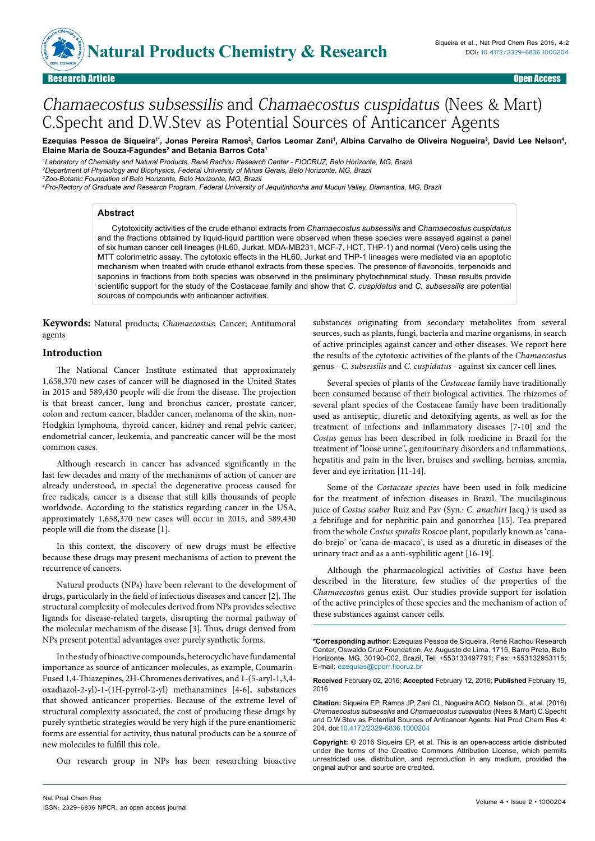**Advices Chemistry & Branch ISSN: 2329-6836**

# Chamaecostus subsessilis and Chamaecostus cuspidatus (Nees & Mart) C.Specht and D.W.Stev as Potential Sources of Anticancer Agents

Ezequias Pessoa de Siqueira'', Jonas Pereira Ramos<sup>2</sup>, Carlos Leomar Zani', Albina Carvalho de Oliveira Nogueira<sup>3</sup>, David Lee Nelson<del>'</del>, **Elaine Maria de Souza-Fagundes2 and Betania Barros Cota1**

<sup>1</sup>Laboratory of Chemistry and Natural Products, René Rachou Research Center - FIOCRUZ, Belo Horizonte, MG, Brazil <sup>2</sup>Department of Physiology and Biophysics, Federal University of Minas Gerais, Belo Horizonte, MG, Brazil <sup>3</sup>Zoo-Botanic Foundation of Belo Horizonte, Belo Horizonte, MG, Brazil

<sup>4</sup>Pro-Rectory of Graduate and Research Program, Federal University of Jequitinhonha and Mucuri Valley, Diamantina, MG, Brazil

## **Abstract**

Cytotoxicity activities of the crude ethanol extracts from *Chamaecostus subsessilis* and *Chamaecostus cuspidatus* and the fractions obtained by liquid-liquid partition were observed when these species were assayed against a panel of six human cancer cell lineages (HL60, Jurkat, MDA-MB231, MCF-7, HCT, THP-1) and normal (Vero) cells using the MTT colorimetric assay. The cytotoxic effects in the HL60, Jurkat and THP-1 lineages were mediated via an apoptotic mechanism when treated with crude ethanol extracts from these species. The presence of flavonoids, terpenoids and saponins in fractions from both species was observed in the preliminary phytochemical study. These results provide scientific support for the study of the Costaceae family and show that *C. cuspidatus* and *C. subsessilis* are potential sources of compounds with anticancer activities.

**Keywords:** Natural products; *Chamaecostus*; Cancer; Antitumoral agents

#### **Introduction**

The National Cancer Institute estimated that approximately 1,658,370 new cases of cancer will be diagnosed in the United States in 2015 and 589,430 people will die from the disease. The projection is that breast cancer, lung and bronchus cancer, prostate cancer, colon and rectum cancer, bladder cancer, melanoma of the skin, non-Hodgkin lymphoma, thyroid cancer, kidney and renal pelvic cancer, endometrial cancer, leukemia, and pancreatic cancer will be the most common cases.

Although research in cancer has advanced significantly in the last few decades and many of the mechanisms of action of cancer are already understood, in special the degenerative process caused for free radicals, cancer is a disease that still kills thousands of people worldwide. According to the statistics regarding cancer in the USA, approximately 1,658,370 new cases will occur in 2015, and 589,430 people will die from the disease [1].

In this context, the discovery of new drugs must be effective because these drugs may present mechanisms of action to prevent the recurrence of cancers.

Natural products (NPs) have been relevant to the development of drugs, particularly in the field of infectious diseases and cancer [2]. The structural complexity of molecules derived from NPs provides selective ligands for disease-related targets, disrupting the normal pathway of the molecular mechanism of the disease [3]. Thus, drugs derived from NPs present potential advantages over purely synthetic forms.

In the study of bioactive compounds, heterocyclic have fundamental importance as source of anticancer molecules, as example, Coumarin-Fused 1,4-Thiazepines, 2H-Chromenes derivatives, and 1-(5-aryl-1,3,4 oxadiazol-2-yl)-1-(1H-pyrrol-2-yl) methanamines [4-6], substances that showed anticancer properties. Because of the extreme level of structural complexity associated, the cost of producing these drugs by purely synthetic strategies would be very high if the pure enantiomeric forms are essential for activity, thus natural products can be a source of new molecules to fulfill this role.

Our research group in NPs has been researching bioactive

substances originating from secondary metabolites from several sources, such as plants, fungi, bacteria and marine organisms, in search of active principles against cancer and other diseases. We report here the results of the cytotoxic activities of the plants of the *Chamaecostu*s genus - *C. subsessilis* and *C. cuspidatus* - against six cancer cell lines.

Several species of plants of the *Costaceae* family have traditionally been consumed because of their biological activities. The rhizomes of several plant species of the Costaceae family have been traditionally used as antiseptic, diuretic and detoxifying agents, as well as for the treatment of infections and inflammatory diseases [7-10] and the *Costus* genus has been described in folk medicine in Brazil for the treatment of "loose urine", genitourinary disorders and inflammations, hepatitis and pain in the liver, bruises and swelling, hernias, anemia, fever and eye irritation [11-14].

Some of the *Costaceae species* have been used in folk medicine for the treatment of infection diseases in Brazil. The mucilaginous juice of *Costus scaber* Ruiz and Pav (Syn.: *C. anachiri* Jacq.) is used as a febrifuge and for nephritic pain and gonorrhea [15]. Tea prepared from the whole *Costus spiralis* Roscoe plant, popularly known as 'canado-brejo' or 'cana-de-macaco', is used as a diuretic in diseases of the urinary tract and as a anti-syphilitic agent [16-19].

Although the pharmacological activities of *Costus* have been described in the literature, few studies of the properties of the *Chamaecostu*s genus exist. Our studies provide support for isolation of the active principles of these species and the mechanism of action of these substances against cancer cells.

**\*Corresponding author:** Ezequias Pessoa de Siqueira, René Rachou Research Center, Oswaldo Cruz Foundation, Av. Augusto de Lima, 1715, Barro Preto, Belo Horizonte, MG, 30190-002, Brazil, Tel: +553133497791; Fax: +553132953115; E-mail: ezequias@cpqrr.fiocruz.br

**Received** February 02, 2016; **Accepted** February 12, 2016; **Published** February 19, 2016

**Citation:** Siqueira EP, Ramos JP, Zani CL, Nogueira ACO, Nelson DL, et al. (2016) *Chamaecostus subsessilis* and *Chamaecostus cuspidatus* (Nees & Mart) C.Specht and D.W.Stev as Potential Sources of Anticancer Agents. Nat Prod Chem Res 4: 204. doi:10.4172/2329-6836.1000204

**Copyright:** © 2016 Siqueira EP, et al. This is an open-access article distributed under the terms of the Creative Commons Attribution License, which permits unrestricted use, distribution, and reproduction in any medium, provided the original author and source are credited.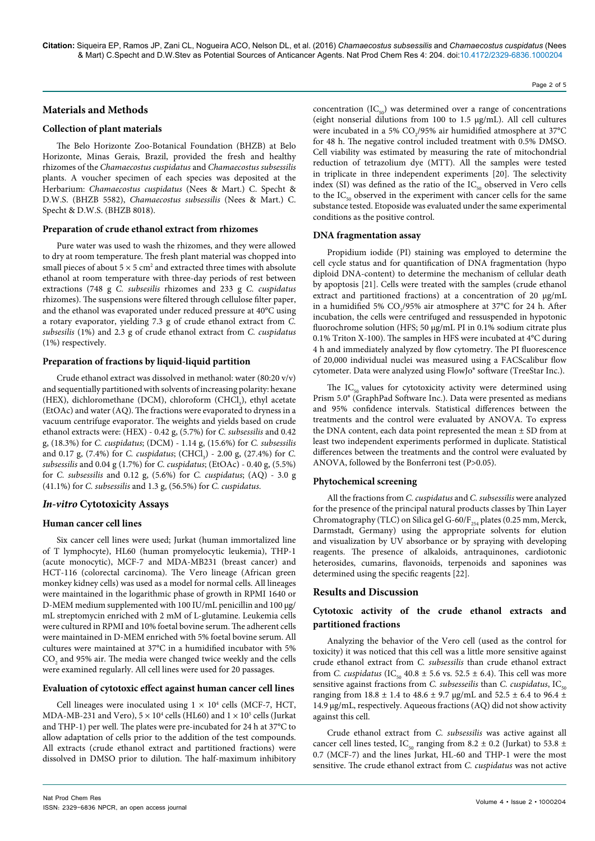## **Materials and Methods**

#### **Collection of plant materials**

The Belo Horizonte Zoo-Botanical Foundation (BHZB) at Belo Horizonte, Minas Gerais, Brazil, provided the fresh and healthy rhizomes of the *Chamaecostus cuspidatus* and *Chamaecostus subsessilis*  plants. A voucher specimen of each species was deposited at the Herbarium: *Chamaecostus cuspidatus* (Nees & Mart.) C. Specht & D.W.S. (BHZB 5582), *Chamaecostus subsessilis* (Nees & Mart.) C. Specht & D.W.S. (BHZB 8018).

#### **Preparation of crude ethanol extract from rhizomes**

Pure water was used to wash the rhizomes, and they were allowed to dry at room temperature. The fresh plant material was chopped into small pieces of about  $5 \times 5$  cm<sup>2</sup> and extracted three times with absolute ethanol at room temperature with three-day periods of rest between extractions (748 g *C. subsesilis* rhizomes and 233 g *C. cuspidatus* rhizomes). The suspensions were filtered through cellulose filter paper, and the ethanol was evaporated under reduced pressure at 40°C using a rotary evaporator, yielding 7.3 g of crude ethanol extract from *C. subsesilis* (1%) and 2.3 g of crude ethanol extract from *C. cuspidatus* (1%) respectively.

## **Preparation of fractions by liquid-liquid partition**

Crude ethanol extract was dissolved in methanol: water (80:20 v/v) and sequentially partitioned with solvents of increasing polarity: hexane (HEX), dichloromethane (DCM), chloroform (CHCl<sub>3</sub>), ethyl acetate (EtOAc) and water (AQ). The fractions were evaporated to dryness in a vacuum centrifuge evaporator. The weights and yields based on crude ethanol extracts were: (HEX) - 0.42 g, (5.7%) for *C. subsessilis* and 0.42 g, (18.3%) for *C. cuspidatus*; (DCM) - 1.14 g, (15.6%) for *C. subsessilis* and 0.17 g, (7.4%) for *C. cuspidatus*; (CHCl<sub>3</sub>) - 2.00 g, (27.4%) for *C*. *subsessilis* and 0.04 g (1.7%) for *C. cuspidatus*; (EtOAc) - 0.40 g, (5.5%) for *C. subsessilis* and 0.12 g, (5.6%) for *C. cuspidatus*; (AQ) - 3.0 g (41.1%) for *C. subsessilis* and 1.3 g, (56.5%) for *C. cuspidatus*.

## *In-vitro* **Cytotoxicity Assays**

## **Human cancer cell lines**

Six cancer cell lines were used; Jurkat (human immortalized line of T lymphocyte), HL60 (human promyelocytic leukemia), THP-1 (acute monocytic), MCF-7 and MDA-MB231 (breast cancer) and HCT-116 (colorectal carcinoma). The Vero lineage (African green monkey kidney cells) was used as a model for normal cells. All lineages were maintained in the logarithmic phase of growth in RPMI 1640 or D-MEM medium supplemented with 100 IU/mL penicillin and 100 μg/ mL streptomycin enriched with 2 mM of L-glutamine. Leukemia cells were cultured in RPMI and 10% foetal bovine serum. The adherent cells were maintained in D-MEM enriched with 5% foetal bovine serum. All cultures were maintained at 37°C in a humidified incubator with 5%  $\mathrm{CO}_2$  and 95% air. The media were changed twice weekly and the cells were examined regularly. All cell lines were used for 20 passages.

## **Evaluation of cytotoxic effect against human cancer cell lines**

Cell lineages were inoculated using  $1 \times 10^4$  cells (MCF-7, HCT, MDA-MB-231 and Vero),  $5 \times 10^4$  cells (HL60) and  $1 \times 10^5$  cells (Jurkat and THP-1) per well. The plates were pre-incubated for 24 h at 37°C to allow adaptation of cells prior to the addition of the test compounds. All extracts (crude ethanol extract and partitioned fractions) were dissolved in DMSO prior to dilution. The half-maximum inhibitory concentration  $(IC_{0})$  was determined over a range of concentrations

Page 2 of 5

(eight nonserial dilutions from 100 to 1.5 μg/mL). All cell cultures were incubated in a 5%  $CO_2/95\%$  air humidified atmosphere at 37°C for 48 h. The negative control included treatment with 0.5% DMSO. Cell viability was estimated by measuring the rate of mitochondrial reduction of tetrazolium dye (MTT). All the samples were tested in triplicate in three independent experiments [20]. The selectivity index (SI) was defined as the ratio of the  $IC_{50}$  observed in Vero cells to the  $IC_{50}$  observed in the experiment with cancer cells for the same substance tested. Etoposide was evaluated under the same experimental conditions as the positive control.

#### **DNA fragmentation assay**

Propidium iodide (PI) staining was employed to determine the cell cycle status and for quantification of DNA fragmentation (hypo diploid DNA-content) to determine the mechanism of cellular death by apoptosis [21]. Cells were treated with the samples (crude ethanol extract and partitioned fractions) at a concentration of 20 µg/mL in a humidified 5%  $CO_2/95\%$  air atmosphere at 37°C for 24 h. After incubation, the cells were centrifuged and ressuspended in hypotonic fluorochrome solution (HFS; 50 µg/mL PI in 0.1% sodium citrate plus 0.1% Triton X-100). The samples in HFS were incubated at 4°C during 4 h and immediately analyzed by flow cytometry. The PI fluorescence of 20,000 individual nuclei was measured using a FACScalibur flow cytometer. Data were analyzed using FlowJo® software (TreeStar Inc.).

The  $IC_{50}$  values for cytotoxicity activity were determined using Prism 5.0® (GraphPad Software Inc.). Data were presented as medians and 95% confidence intervals. Statistical differences between the treatments and the control were evaluated by ANOVA. To express the DNA content, each data point represented the mean  $\pm$  SD from at least two independent experiments performed in duplicate. Statistical differences between the treatments and the control were evaluated by ANOVA, followed by the Bonferroni test (P>0.05).

## **Phytochemical screening**

All the fractions from *C. cuspidatus* and *C. subsessilis* were analyzed for the presence of the principal natural products classes by Thin Layer Chromatography (TLC) on Silica gel G-60/ $F_{254}$  plates (0.25 mm, Merck, Darmstadt, Germany) using the appropriate solvents for elution and visualization by UV absorbance or by spraying with developing reagents. The presence of alkaloids, antraquinones, cardiotonic heterosides, cumarins, flavonoids, terpenoids and saponines was determined using the specific reagents [22].

## **Results and Discussion**

# **Cytotoxic activity of the crude ethanol extracts and partitioned fractions**

Analyzing the behavior of the Vero cell (used as the control for toxicity) it was noticed that this cell was a little more sensitive against crude ethanol extract from *C. subsessilis* than crude ethanol extract from *C. cuspidatus* (IC<sub>50</sub> 40.8  $\pm$  5.6 vs. 52.5  $\pm$  6.4). This cell was more sensitive against fractions from *C. subsesseilis* than *C. cuspidatus*, IC<sub>50</sub> ranging from 18.8  $\pm$  1.4 to 48.6  $\pm$  9.7 µg/mL and 52.5  $\pm$  6.4 to 96.4  $\pm$ 14.9 µg/mL, respectively. Aqueous fractions (AQ) did not show activity against this cell.

Crude ethanol extract from *C. subsessilis* was active against all cancer cell lines tested, IC<sub>50</sub> ranging from 8.2  $\pm$  0.2 (Jurkat) to 53.8  $\pm$ 0.7 (MCF-7) and the lines Jurkat, HL-60 and THP-1 were the most sensitive. The crude ethanol extract from *C. cuspidatus* was not active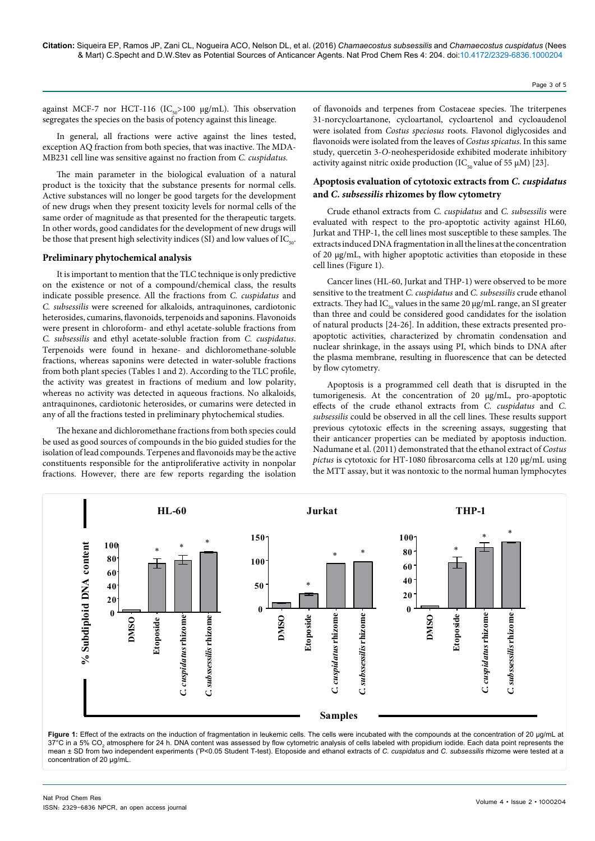against MCF-7 nor HCT-116 ( $IC_{0.0}$ >100 µg/mL). This observation segregates the species on the basis of potency against this lineage.

In general, all fractions were active against the lines tested, exception AQ fraction from both species, that was inactive. The MDA-MB231 cell line was sensitive against no fraction from *C. cuspidatus*.

The main parameter in the biological evaluation of a natural product is the toxicity that the substance presents for normal cells. Active substances will no longer be good targets for the development of new drugs when they present toxicity levels for normal cells of the same order of magnitude as that presented for the therapeutic targets. In other words, good candidates for the development of new drugs will be those that present high selectivity indices (SI) and low values of  $IC_{\text{tot}}$ .

## **Preliminary phytochemical analysis**

It is important to mention that the TLC technique is only predictive on the existence or not of a compound/chemical class, the results indicate possible presence. All the fractions from *C. cuspidatus* and *C. subsessilis* were screened for alkaloids, antraquinones, cardiotonic heterosides, cumarins, flavonoids, terpenoids and saponins. Flavonoids were present in chloroform- and ethyl acetate-soluble fractions from *C. subsessilis* and ethyl acetate-soluble fraction from *C. cuspidatus*. Terpenoids were found in hexane- and dichloromethane-soluble fractions, whereas saponins were detected in water-soluble fractions from both plant species (Tables 1 and 2). According to the TLC profile, the activity was greatest in fractions of medium and low polarity, whereas no activity was detected in aqueous fractions. No alkaloids, antraquinones, cardiotonic heterosides, or cumarins were detected in any of all the fractions tested in preliminary phytochemical studies.

The hexane and dichloromethane fractions from both species could be used as good sources of compounds in the bio guided studies for the isolation of lead compounds. Terpenes and flavonoids may be the active constituents responsible for the antiproliferative activity in nonpolar fractions. However, there are few reports regarding the isolation

of flavonoids and terpenes from Costaceae species. The triterpenes 31-norcycloartanone, cycloartanol, cycloartenol and cycloaudenol were isolated from *Costus speciosus* roots. Flavonol diglycosides and flavonoids were isolated from the leaves of *Costus spicatus*. In this same study, quercetin 3-*O*-neohesperidoside exhibited moderate inhibitory activity against nitric oxide production ( $IC_{50}$  value of 55 µM) [23].

## **Apoptosis evaluation of cytotoxic extracts from** *C. cuspidatus* **and** *C. subsessilis* **rhizomes by flow cytometry**

Crude ethanol extracts from *C. cuspidatus* and *C. subsessilis* were evaluated with respect to the pro-apoptotic activity against HL60, Jurkat and THP-1, the cell lines most susceptible to these samples. The extracts induced DNA fragmentation in all the lines at the concentration of 20 μg/mL, with higher apoptotic activities than etoposide in these cell lines (Figure 1).

Cancer lines (HL-60, Jurkat and THP-1) were observed to be more sensitive to the treatment *C. cuspidatus* and *C. subsessilis* crude ethanol extracts. They had  $IC_{50}$  values in the same 20  $\mu$ g/mL range, an SI greater than three and could be considered good candidates for the isolation of natural products [24-26]. In addition, these extracts presented proapoptotic activities, characterized by chromatin condensation and nuclear shrinkage, in the assays using PI, which binds to DNA after the plasma membrane, resulting in fluorescence that can be detected by flow cytometry.

Apoptosis is a programmed cell death that is disrupted in the tumorigenesis. At the concentration of 20 µg/mL, pro-apoptotic effects of the crude ethanol extracts from *C. cuspidatus* and *C. subsessilis* could be observed in all the cell lines. These results support previous cytotoxic effects in the screening assays, suggesting that their anticancer properties can be mediated by apoptosis induction. Nadumane et al. (2011) demonstrated that the ethanol extract of *Costus pictus* is cytotoxic for HT-1080 fibrosarcoma cells at 120 µg/mL using the MTT assay, but it was nontoxic to the normal human lymphocytes



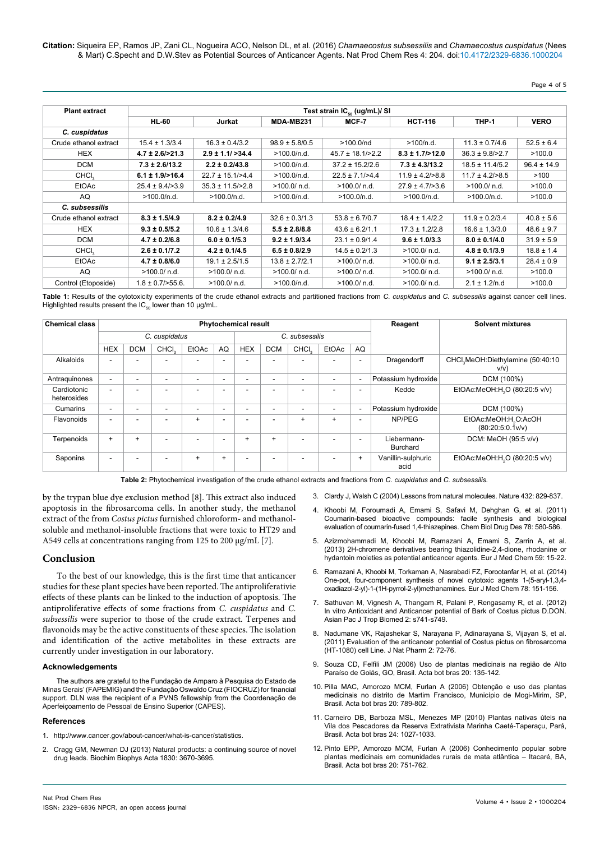**Citation:** Siqueira EP, Ramos JP, Zani CL, Nogueira ACO, Nelson DL, et al. (2016) *Chamaecostus subsessilis* and *Chamaecostus cuspidatus* (Nees & Mart) C.Specht and D.W.Stev as Potential Sources of Anticancer Agents. Nat Prod Chem Res 4: 204. doi:10.4172/2329-6836.1000204

## Page 4 of 5

| <b>Plant extract</b>  | Test strain IC <sub>50</sub> (ug/mL)/ SI |                        |                    |                       |                      |                      |                 |  |  |  |
|-----------------------|------------------------------------------|------------------------|--------------------|-----------------------|----------------------|----------------------|-----------------|--|--|--|
|                       | <b>HL-60</b>                             | Jurkat                 | MDA-MB231          | MCF-7                 | <b>HCT-116</b>       | THP-1                | <b>VERO</b>     |  |  |  |
| C. cuspidatus         |                                          |                        |                    |                       |                      |                      |                 |  |  |  |
| Crude ethanol extract | $15.4 \pm 1.3/3.4$                       | $16.3 \pm 0.4/3.2$     | $98.9 \pm 5.8/0.5$ | >100.0/nd             | >100/n.d.            | $11.3 \pm 0.7/4.6$   | $52.5 \pm 6.4$  |  |  |  |
| <b>HEX</b>            | $4.7 \pm 2.6$ />21.3                     | $2.9 \pm 1.1 / > 34.4$ | >100.0/n.d.        | $45.7 \pm 18.1$ />2.2 | $8.3 \pm 1.7$ />12.0 | $36.3 \pm 9.8$ />2.7 | >100.0          |  |  |  |
| <b>DCM</b>            | $7.3 \pm 2.6/13.2$                       | $2.2 \pm 0.2/43.8$     | >100.0/n.d.        | $37.2 \pm 15.2/2.6$   | $7.3 \pm 4.3/13.2$   | $18.5 \pm 11.4/5.2$  | $96.4 \pm 14.9$ |  |  |  |
| CHCI <sub>2</sub>     | $6.1 \pm 1.9$ />16.4                     | $22.7 \pm 15.1/ > 4.4$ | >100.0/n.d.        | $22.5 \pm 7.1/ > 4.4$ | $11.9 \pm 4.2$ />8.8 | $11.7 \pm 4.2$ />8.5 | >100            |  |  |  |
| <b>EtOAc</b>          | $25.4 \pm 9.4$ / $>3.9$                  | $35.3 \pm 11.5$ />2.8  | >100.0/ n.d.       | $>100.0/$ n.d.        | $27.9 \pm 4.7$ />3.6 | >100.0/ n.d.         | >100.0          |  |  |  |
| AQ                    | >100.0/n.d.                              | >100.0/n.d.            | >100.0/n.d.        | >100.0/n.d.           | >100.0/n.d.          | >100.0/n.d.          | >100.0          |  |  |  |
| C. subsessilis        |                                          |                        |                    |                       |                      |                      |                 |  |  |  |
| Crude ethanol extract | $8.3 \pm 1.5/4.9$                        | $8.2 \pm 0.2/4.9$      | $32.6 \pm 0.3/1.3$ | $53.8 \pm 6.7/0.7$    | $18.4 \pm 1.4/2.2$   | $11.9 \pm 0.2/3.4$   | $40.8 \pm 5.6$  |  |  |  |
| <b>HEX</b>            | $9.3 \pm 0.5/5.2$                        | $10.6 \pm 1.3/4.6$     | $5.5 \pm 2.8/8.8$  | $43.6 \pm 6.2/1.1$    | $17.3 \pm 1.2/2.8$   | $16.6 \pm 1.3/3.0$   | $48.6 \pm 9.7$  |  |  |  |
| <b>DCM</b>            | $4.7 \pm 0.2/6.8$                        | $6.0 \pm 0.1/5.3$      | $9.2 \pm 1.9/3.4$  | $23.1 \pm 0.9/1.4$    | $9.6 \pm 1.0/3.3$    | $8.0 \pm 0.1/4.0$    | $31.9 \pm 5.9$  |  |  |  |
| CHCI <sub>2</sub>     | $2.6 \pm 0.1/7.2$                        | $4.2 \pm 0.1/4.5$      | $6.5 \pm 0.8/2.9$  | $14.5 \pm 0.2/1.3$    | $>100.0/$ n.d.       | $4.8 \pm 0.1/3.9$    | $18.8 \pm 1.4$  |  |  |  |
| EtOAc                 | $4.7 \pm 0.8/6.0$                        | $19.1 \pm 2.5/1.5$     | $13.8 \pm 2.7/2.1$ | $>100.0/$ n.d.        | >100.0/ n.d.         | $9.1 \pm 2.5/3.1$    | $28.4 \pm 0.9$  |  |  |  |
| AQ                    | >100.0/ n.d.                             | >100.0/ n.d.           | >100.0/ n.d.       | $>100.0/$ n.d.        | >100.0/ n.d.         | >100.0/ n.d.         | >100.0          |  |  |  |
| Control (Etoposide)   | $1.8 \pm 0.7$ />55.6.                    | >100.0/ n.d.           | >100.0/n.d.        | $>100.0/$ n.d.        | $>100.0/$ n.d.       | $2.1 \pm 1.2/n.d$    | >100.0          |  |  |  |

**Table 1:** Results of the cytotoxicity experiments of the crude ethanol extracts and partitioned fractions from *C. cuspidatus* and *C. subsessilis* against cancer cell lines. Highlighted results present the  $IC_{50}$  lower than 10 µg/mL.

| <b>Chemical class</b>      | <b>Phytochemical result</b> |            |                   |           |           |                |            |                   |           | Reagent                  | <b>Solvent mixtures</b>    |                                                      |
|----------------------------|-----------------------------|------------|-------------------|-----------|-----------|----------------|------------|-------------------|-----------|--------------------------|----------------------------|------------------------------------------------------|
|                            | C. cuspidatus               |            |                   |           |           | C. subsessilis |            |                   |           |                          |                            |                                                      |
|                            | <b>HEX</b>                  | <b>DCM</b> | CHCI <sub>2</sub> | EtOAc     | AQ        | <b>HEX</b>     | <b>DCM</b> | CHCI <sub>2</sub> | EtOAc     | AQ                       |                            |                                                      |
| Alkaloids                  |                             |            |                   |           |           |                |            |                   |           | ۰                        | Dragendorff                | CHCl, MeOH: Diethylamine (50:40:10<br>V/V)           |
| Antraguinones              | ۰.                          |            |                   | -         | -         |                | ۰          | ۰                 |           | ٠                        | Potassium hydroxide        | DCM (100%)                                           |
| Cardiotonic<br>heterosides | ۰.                          |            |                   |           |           |                |            |                   |           | ۰                        | Kedde                      | EtOAc:MeOH:H <sub>2</sub> O (80:20:5 v/v)            |
| Cumarins                   | ۰.                          |            |                   | -         | -         |                | ۰          | ۰                 | -         | $\overline{\phantom{a}}$ | Potassium hydroxide        | DCM (100%)                                           |
| Flavonoids                 | ۰.                          |            |                   | $\ddot{}$ |           |                |            | $\ddot{}$         | $\ddot{}$ | ۰                        | NP/PEG                     | EtOAc:MeOH:H <sub>2</sub> O:AcOH<br>(80:20:5:0.1v/v) |
| Terpenoids                 | $+$                         | $\ddot{}$  |                   | ۰         | -         | $\ddot{}$      | $\ddot{}$  |                   |           | ۰                        | Liebermann-<br>Burchard    | DCM: MeOH (95:5 v/v)                                 |
| Saponins                   | ۰                           | ۰          |                   | $\ddot{}$ | $\ddot{}$ |                | ۰          | -                 | -         | $\ddot{}$                | Vanillin-sulphuric<br>acid | EtOAc:MeOH:H <sub>2</sub> O (80:20:5 v/v)            |

**Table 2:** Phytochemical investigation of the crude ethanol extracts and fractions from *C. cuspidatus* and *C. subsessilis.*

by the trypan blue dye exclusion method [8]. This extract also induced apoptosis in the fibrosarcoma cells. In another study, the methanol extract of the from *Costus pictus* furnished chloroform- and methanolsoluble and methanol-insoluble fractions that were toxic to HT29 and A549 cells at concentrations ranging from 125 to 200 µg/mL [7].

#### **Conclusion**

To the best of our knowledge, this is the first time that anticancer studies for these plant species have been reported. The antiproliferativie effects of these plants can be linked to the induction of apoptosis. The antiproliferative effects of some fractions from *C. cuspidatus* and *C. subsessilis* were superior to those of the crude extract. Terpenes and flavonoids may be the active constituents of these species. The isolation and identification of the active metabolites in these extracts are currently under investigation in our laboratory.

#### **Acknowledgements**

The authors are grateful to the Fundação de Amparo à Pesquisa do Estado de Minas Gerais' (FAPEMIG) and the Fundação Oswaldo Cruz (FIOCRUZ) for financial support. DLN was the recipient of a PVNS fellowship from the Coordenação de Aperfeiçoamento de Pessoal de Ensino Superior (CAPES).

#### **References**

- 1. <http://www.cancer.gov/about-cancer/what-is-cancer/statistics.>
- 2. [Cragg GM, Newman DJ \(2013\) Natural products: a continuing source of novel](http://www.ncbi.nlm.nih.gov/pubmed/23428572) [drug leads. Biochim Biophys Acta 1830: 3670-3695.](http://www.ncbi.nlm.nih.gov/pubmed/23428572)
- 3. [Clardy J, Walsh C \(2004\) Lessons from natural molecules. Nature 432: 829-837.](http://www.ncbi.nlm.nih.gov/pubmed/15602548)
- 4. [Khoobi M, Foroumadi A, Emami S, Safavi M, Dehghan G, et al. \(2011\)](http://www.ncbi.nlm.nih.gov/pubmed/21740531)  [Coumarin-based bioactive compounds: facile synthesis and biological](http://www.ncbi.nlm.nih.gov/pubmed/21740531)  [evaluation of coumarin-fused 1,4-thiazepines. Chem Biol Drug Des 78: 580-586.](http://www.ncbi.nlm.nih.gov/pubmed/21740531)
- 5. [Azizmohammadi M, Khoobi M, Ramazani A, Emami S, Zarrin A, et al.](http://www.ncbi.nlm.nih.gov/pubmed/23202485)  [\(2013\) 2H-chromene derivatives bearing thiazolidine-2,4-dione, rhodanine or](http://www.ncbi.nlm.nih.gov/pubmed/23202485)  [hydantoin moieties as potential anticancer agents. Eur J Med Chem 59: 15-22.](http://www.ncbi.nlm.nih.gov/pubmed/23202485)
- 6. [Ramazani A, Khoobi M, Torkaman A, Nasrabadi FZ, Forootanfar H, et al. \(2014\)](http://www.ncbi.nlm.nih.gov/pubmed/24681979)  [One-pot, four-component synthesis of novel cytotoxic agents 1-\(5-aryl-1,3,4](http://www.ncbi.nlm.nih.gov/pubmed/24681979) [oxadiazol-2-yl\)-1-\(1H-pyrrol-2-yl\)methanamines. Eur J Med Chem 78: 151-156.](http://www.ncbi.nlm.nih.gov/pubmed/24681979)
- 7. [Sathuvan M, Vignesh A, Thangam R, Palani P, Rengasamy R, et al. \(2012\)](http://www.sciencedirect.com/science/article/pii/S2221169112603074)  In vitro Antioxidant and Anticancer potential of Bark of Costus pictus D.DON. [Asian Pac J Trop Biomed 2: s741-s749.](http://www.sciencedirect.com/science/article/pii/S2221169112603074)
- 8. [Nadumane VK, Rajashekar S, Narayana P, Adinarayana S, Vijayan S, et al.](http://web.b.ebscohost.com/abstract?direct=true&profile=ehost&scope=site&authtype=crawler&jrnl=22295119&AN=67018488&h=51FFc0SoTz032%2b%2bQDNWehNx5cVSdzhrPpw9c6k4HlWcoiV9%2b%2fRaQww9Z%2fL0WfzsBSQIyBRuYvGNI7HpArBhUVw%3d%3d&crl=c&resultNs=AdminWebAuth&resultLocal=ErrCrlNotAuth&crlhashurl=login.aspx%3fdirect%3dtrue%26profile%3dehost%26scope%3dsite%26authtype%3dcrawler%26jrnl%3d22295119%26AN%3d67018488)  [\(2011\) Evaluation of the anticancer potential of Costus pictus on fibrosarcoma](http://web.b.ebscohost.com/abstract?direct=true&profile=ehost&scope=site&authtype=crawler&jrnl=22295119&AN=67018488&h=51FFc0SoTz032%2b%2bQDNWehNx5cVSdzhrPpw9c6k4HlWcoiV9%2b%2fRaQww9Z%2fL0WfzsBSQIyBRuYvGNI7HpArBhUVw%3d%3d&crl=c&resultNs=AdminWebAuth&resultLocal=ErrCrlNotAuth&crlhashurl=login.aspx%3fdirect%3dtrue%26profile%3dehost%26scope%3dsite%26authtype%3dcrawler%26jrnl%3d22295119%26AN%3d67018488)  [\(HT-1080\) cell Line. J Nat Pharm 2: 72-76.](http://web.b.ebscohost.com/abstract?direct=true&profile=ehost&scope=site&authtype=crawler&jrnl=22295119&AN=67018488&h=51FFc0SoTz032%2b%2bQDNWehNx5cVSdzhrPpw9c6k4HlWcoiV9%2b%2fRaQww9Z%2fL0WfzsBSQIyBRuYvGNI7HpArBhUVw%3d%3d&crl=c&resultNs=AdminWebAuth&resultLocal=ErrCrlNotAuth&crlhashurl=login.aspx%3fdirect%3dtrue%26profile%3dehost%26scope%3dsite%26authtype%3dcrawler%26jrnl%3d22295119%26AN%3d67018488)
- 9. [Souza CD, Felfili JM \(2006\) Uso de plantas medicinais na região de Alto](http://www.scielo.br/scielo.php?script=sci_arttext&pid=S0102-33062006000100013)  [Paraíso de Goiás, GO, Brasil. Acta bot bras 20: 135-142.](http://www.scielo.br/scielo.php?script=sci_arttext&pid=S0102-33062006000100013)
- 10. [Pilla MAC, Amorozo MCM, Furlan A \(2006\) Obtenção e uso das plantas](http://www.scielo.br/scielo.php?pid=S0102-33062006000400005&script=sci_abstract&tlng=pt)  [medicinais no distrito de Martim Francisco, Município de Mogi-Mirim, SP,](http://www.scielo.br/scielo.php?pid=S0102-33062006000400005&script=sci_abstract&tlng=pt)  [Brasil. Acta bot bras 20: 789-802.](http://www.scielo.br/scielo.php?pid=S0102-33062006000400005&script=sci_abstract&tlng=pt)
- 11. [Carneiro DB, Barboza MSL, Menezes MP \(2010\) Plantas nativas úteis na](http://www.scielo.br/scielo.php?pid=S0102-33062010000400017&script=sci_arttext)  [Vila dos Pescadores da Reserva Extrativista Marinha Caeté-Taperaçu, Pará,](http://www.scielo.br/scielo.php?pid=S0102-33062010000400017&script=sci_arttext)  [Brasil. Acta bot bras 24: 1027-1033.](http://www.scielo.br/scielo.php?pid=S0102-33062010000400017&script=sci_arttext)
- 12. [Pinto EPP, Amorozo MCM, Furlan A \(2006\) Conhecimento popular sobre](http://www.scielo.br/scielo.php?script=sci_arttext&pid=S0102-33062006000400001)  [plantas medicinais em comunidades rurais de mata atlântica – Itacaré, BA,](http://www.scielo.br/scielo.php?script=sci_arttext&pid=S0102-33062006000400001)  [Brasil. Acta bot bras 20: 751-762.](http://www.scielo.br/scielo.php?script=sci_arttext&pid=S0102-33062006000400001)